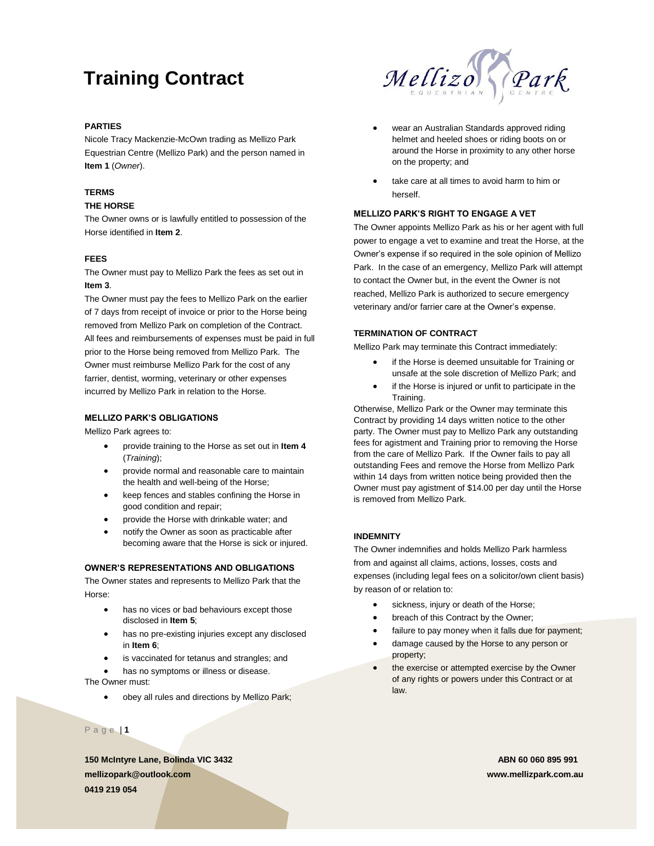# **Training Contract**

# **PARTIES**

Nicole Tracy Mackenzie-McOwn trading as Mellizo Park Equestrian Centre (Mellizo Park) and the person named in **Item 1** (*Owner*).

## **TERMS**

### **THE HORSE**

The Owner owns or is lawfully entitled to possession of the Horse identified in **Item 2**.

## **FEES**

The Owner must pay to Mellizo Park the fees as set out in **Item 3**.

The Owner must pay the fees to Mellizo Park on the earlier of 7 days from receipt of invoice or prior to the Horse being removed from Mellizo Park on completion of the Contract. All fees and reimbursements of expenses must be paid in full prior to the Horse being removed from Mellizo Park. The Owner must reimburse Mellizo Park for the cost of any farrier, dentist, worming, veterinary or other expenses incurred by Mellizo Park in relation to the Horse.

### **MELLIZO PARK'S OBLIGATIONS**

Mellizo Park agrees to:

- provide training to the Horse as set out in **Item 4**  (*Training*);
- provide normal and reasonable care to maintain the health and well-being of the Horse;
- keep fences and stables confining the Horse in good condition and repair;
- provide the Horse with drinkable water; and
- notify the Owner as soon as practicable after becoming aware that the Horse is sick or injured.

### **OWNER'S REPRESENTATIONS AND OBLIGATIONS**

The Owner states and represents to Mellizo Park that the Horse:

- has no vices or bad behaviours except those disclosed in **Item 5**;
- has no pre-existing injuries except any disclosed in **Item 6**;
- is vaccinated for tetanus and strangles; and
- has no symptoms or illness or disease.

The Owner must:

• obey all rules and directions by Mellizo Park;

P a g e | **1**

**150 McIntyre Lane, Bolinda VIC 3432 ABN 60 060 895 991 mellizopark@outlook.com www.mellizpark.com.au 0419 219 054**



- wear an Australian Standards approved riding helmet and heeled shoes or riding boots on or around the Horse in proximity to any other horse on the property; and
- take care at all times to avoid harm to him or herself.

### **MELLIZO PARK'S RIGHT TO ENGAGE A VET**

The Owner appoints Mellizo Park as his or her agent with full power to engage a vet to examine and treat the Horse, at the Owner's expense if so required in the sole opinion of Mellizo Park. In the case of an emergency, Mellizo Park will attempt to contact the Owner but, in the event the Owner is not reached, Mellizo Park is authorized to secure emergency veterinary and/or farrier care at the Owner's expense.

### **TERMINATION OF CONTRACT**

Mellizo Park may terminate this Contract immediately:

- if the Horse is deemed unsuitable for Training or unsafe at the sole discretion of Mellizo Park; and
- if the Horse is injured or unfit to participate in the Training.

Otherwise, Mellizo Park or the Owner may terminate this Contract by providing 14 days written notice to the other party. The Owner must pay to Mellizo Park any outstanding fees for agistment and Training prior to removing the Horse from the care of Mellizo Park. If the Owner fails to pay all outstanding Fees and remove the Horse from Mellizo Park within 14 days from written notice being provided then the Owner must pay agistment of \$14.00 per day until the Horse is removed from Mellizo Park.

### **INDEMNITY**

The Owner indemnifies and holds Mellizo Park harmless from and against all claims, actions, losses, costs and expenses (including legal fees on a solicitor/own client basis) by reason of or relation to:

- sickness, injury or death of the Horse;
- breach of this Contract by the Owner;
- failure to pay money when it falls due for payment;
- damage caused by the Horse to any person or property;
- the exercise or attempted exercise by the Owner of any rights or powers under this Contract or at law.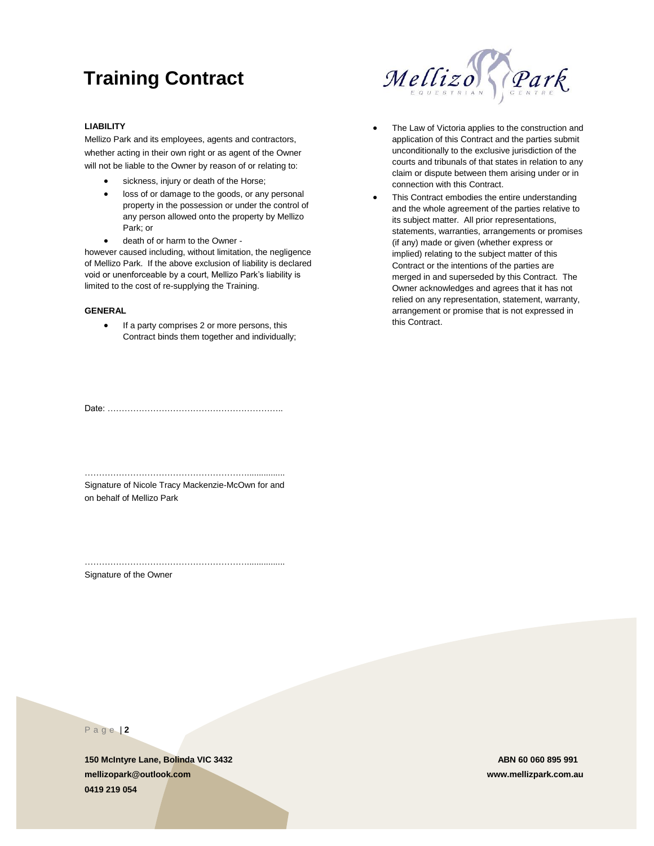# **Training Contract**



# **LIABILITY**

Mellizo Park and its employees, agents and contractors, whether acting in their own right or as agent of the Owner will not be liable to the Owner by reason of or relating to:

- sickness, injury or death of the Horse;
- loss of or damage to the goods, or any personal property in the possession or under the control of any person allowed onto the property by Mellizo Park; or
- death of or harm to the Owner -

however caused including, without limitation, the negligence of Mellizo Park. If the above exclusion of liability is declared void or unenforceable by a court, Mellizo Park's liability is limited to the cost of re-supplying the Training.

### **GENERAL**

• If a party comprises 2 or more persons, this Contract binds them together and individually;

Date: ……………………………………………………..

…………………………………………………................ Signature of Nicole Tracy Mackenzie-McOwn for and on behalf of Mellizo Park

…………………………………………………................

Signature of the Owner

- The Law of Victoria applies to the construction and application of this Contract and the parties submit unconditionally to the exclusive jurisdiction of the courts and tribunals of that states in relation to any claim or dispute between them arising under or in connection with this Contract.
- This Contract embodies the entire understanding and the whole agreement of the parties relative to its subject matter. All prior representations, statements, warranties, arrangements or promises (if any) made or given (whether express or implied) relating to the subject matter of this Contract or the intentions of the parties are merged in and superseded by this Contract. The Owner acknowledges and agrees that it has not relied on any representation, statement, warranty, arrangement or promise that is not expressed in this Contract.

P a g e | **2**

**150 McIntyre Lane, Bolinda VIC 3432 ABN 60 060 895 991 mellizopark@outlook.com www.mellizpark.com.au 0419 219 054**